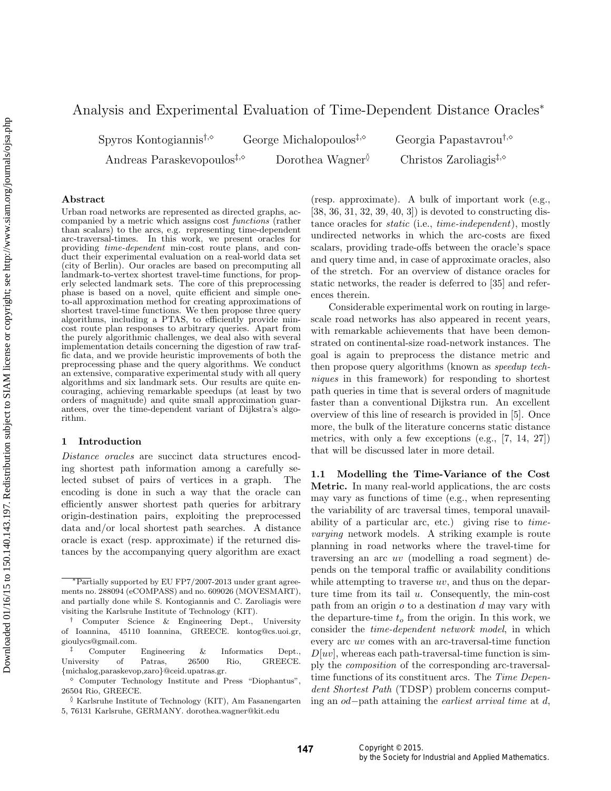# Analysis and Experimental Evaluation of Time-Dependent Distance Oracles<sup>∗</sup>

Spyros Kontogiannis<sup>†,</sup> George Michalopoulos<sup>‡,</sup> Georgia Papastavrou<sup>†,</sup> Andreas Paraskevopoulos<sup>‡,</sup> Dorothea Wagner<sup> $\hat{Q}$ </sup> Christos Zaroliagis<sup>‡, $\diamond$ </sup>

### Abstract

Urban road networks are represented as directed graphs, accompanied by a metric which assigns cost functions (rather than scalars) to the arcs, e.g. representing time-dependent arc-traversal-times. In this work, we present oracles for providing time-dependent min-cost route plans, and conduct their experimental evaluation on a real-world data set (city of Berlin). Our oracles are based on precomputing all landmark-to-vertex shortest travel-time functions, for properly selected landmark sets. The core of this preprocessing phase is based on a novel, quite efficient and simple oneto-all approximation method for creating approximations of shortest travel-time functions. We then propose three query algorithms, including a PTAS, to efficiently provide mincost route plan responses to arbitrary queries. Apart from the purely algorithmic challenges, we deal also with several implementation details concerning the digestion of raw traffic data, and we provide heuristic improvements of both the preprocessing phase and the query algorithms. We conduct an extensive, comparative experimental study with all query algorithms and six landmark sets. Our results are quite encouraging, achieving remarkable speedups (at least by two orders of magnitude) and quite small approximation guarantees, over the time-dependent variant of Dijkstra's algorithm.

#### 1 Introduction

Distance oracles are succinct data structures encoding shortest path information among a carefully selected subset of pairs of vertices in a graph. The encoding is done in such a way that the oracle can efficiently answer shortest path queries for arbitrary origin-destination pairs, exploiting the preprocessed data and/or local shortest path searches. A distance oracle is exact (resp. approximate) if the returned distances by the accompanying query algorithm are exact

(resp. approximate). A bulk of important work (e.g.,  $[38, 36, 31, 32, 39, 40, 3]$  is devoted to constructing distance oracles for static (i.e., time-independent), mostly undirected networks in which the arc-costs are fixed scalars, providing trade-offs between the oracle's space and query time and, in case of approximate oracles, also of the stretch. For an overview of distance oracles for static networks, the reader is deferred to [35] and references therein.

Considerable experimental work on routing in largescale road networks has also appeared in recent years, with remarkable achievements that have been demonstrated on continental-size road-network instances. The goal is again to preprocess the distance metric and then propose query algorithms (known as speedup techniques in this framework) for responding to shortest path queries in time that is several orders of magnitude faster than a conventional Dijkstra run. An excellent overview of this line of research is provided in [5]. Once more, the bulk of the literature concerns static distance metrics, with only a few exceptions (e.g., [7, 14, 27]) that will be discussed later in more detail.

1.1 Modelling the Time-Variance of the Cost Metric. In many real-world applications, the arc costs may vary as functions of time (e.g., when representing the variability of arc traversal times, temporal unavailability of a particular arc, etc.) giving rise to timevarying network models. A striking example is route planning in road networks where the travel-time for traversing an arc uv (modelling a road segment) depends on the temporal traffic or availability conditions while attempting to traverse  $uv$ , and thus on the departure time from its tail  $u$ . Consequently, the min-cost path from an origin  $o$  to a destination  $d$  may vary with the departure-time  $t_o$  from the origin. In this work, we consider the time-dependent network model, in which every arc uv comes with an arc-traversal-time function  $D[uv]$ , whereas each path-traversal-time function is simply the composition of the corresponding arc-traversaltime functions of its constituent arcs. The Time Dependent Shortest Path (TDSP) problem concerns computing an od−path attaining the earliest arrival time at d,

<sup>∗</sup>Partially supported by EU FP7/2007-2013 under grant agreements no. 288094 (eCOMPASS) and no. 609026 (MOVESMART), and partially done while S. Kontogiannis and C. Zaroliagis were visiting the Karlsruhe Institute of Technology (KIT).

<sup>†</sup> Computer Science & Engineering Dept., University of Ioannina, 45110 Ioannina, GREECE. kontog@cs.uoi.gr, gioulycs@gmail.com.

<sup>‡</sup> Computer Engineering & Informatics Dept., University of Patras, 26500 Rio, GREECE. {michalog,paraskevop,zaro}@ceid.upatras.gr.

Computer Technology Institute and Press "Diophantus", 26504 Rio, GREECE.

 $\&$  Karlsruhe Institute of Technology (KIT), Am Fasanengarten 5, 76131 Karlsruhe, GERMANY. dorothea.wagner@kit.edu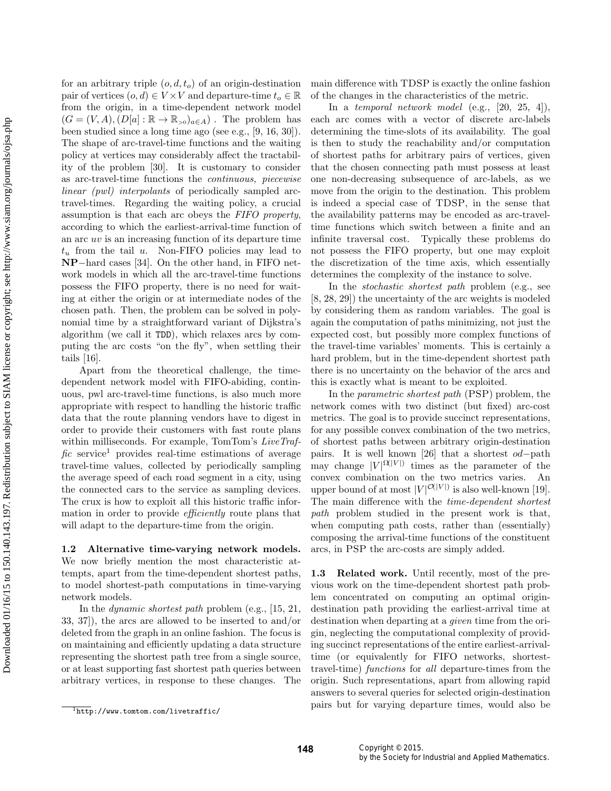for an arbitrary triple  $(o, d, t_o)$  of an origin-destination pair of vertices  $(o, d) \in V \times V$  and departure-time  $t_o \in \mathbb{R}$ from the origin, in a time-dependent network model  $(G = (V, A), (D[a] : \mathbb{R} \to \mathbb{R}_{>0})_{a \in A})$ . The problem has been studied since a long time ago (see e.g., [9, 16, 30]). The shape of arc-travel-time functions and the waiting policy at vertices may considerably affect the tractability of the problem [30]. It is customary to consider as arc-travel-time functions the continuous, piecewise linear (pwl) interpolants of periodically sampled arctravel-times. Regarding the waiting policy, a crucial assumption is that each arc obeys the FIFO property, according to which the earliest-arrival-time function of an arc uv is an increasing function of its departure time  $t<sub>u</sub>$  from the tail  $u$ . Non-FIFO policies may lead to NP−hard cases [34]. On the other hand, in FIFO network models in which all the arc-travel-time functions possess the FIFO property, there is no need for waiting at either the origin or at intermediate nodes of the chosen path. Then, the problem can be solved in polynomial time by a straightforward variant of Dijkstra's algorithm (we call it TDD), which relaxes arcs by computing the arc costs "on the fly", when settling their tails [16].

Apart from the theoretical challenge, the timedependent network model with FIFO-abiding, continuous, pwl arc-travel-time functions, is also much more appropriate with respect to handling the historic traffic data that the route planning vendors have to digest in order to provide their customers with fast route plans within milliseconds. For example, TomTom's LiveTraf- $\int$ fic service<sup>1</sup> provides real-time estimations of average travel-time values, collected by periodically sampling the average speed of each road segment in a city, using the connected cars to the service as sampling devices. The crux is how to exploit all this historic traffic information in order to provide *efficiently* route plans that will adapt to the departure-time from the origin.

1.2 Alternative time-varying network models. We now briefly mention the most characteristic attempts, apart from the time-dependent shortest paths, to model shortest-path computations in time-varying network models.

In the dynamic shortest path problem (e.g., [15, 21, 33, 37]), the arcs are allowed to be inserted to and/or deleted from the graph in an online fashion. The focus is on maintaining and efficiently updating a data structure representing the shortest path tree from a single source, or at least supporting fast shortest path queries between arbitrary vertices, in response to these changes. The main difference with TDSP is exactly the online fashion of the changes in the characteristics of the metric.

In a temporal network model (e.g., [20, 25, 4]), each arc comes with a vector of discrete arc-labels determining the time-slots of its availability. The goal is then to study the reachability and/or computation of shortest paths for arbitrary pairs of vertices, given that the chosen connecting path must possess at least one non-decreasing subsequence of arc-labels, as we move from the origin to the destination. This problem is indeed a special case of TDSP, in the sense that the availability patterns may be encoded as arc-traveltime functions which switch between a finite and an infinite traversal cost. Typically these problems do not possess the FIFO property, but one may exploit the discretization of the time axis, which essentially determines the complexity of the instance to solve.

In the *stochastic shortest path* problem (e.g., see [8, 28, 29]) the uncertainty of the arc weights is modeled by considering them as random variables. The goal is again the computation of paths minimizing, not just the expected cost, but possibly more complex functions of the travel-time variables' moments. This is certainly a hard problem, but in the time-dependent shortest path there is no uncertainty on the behavior of the arcs and this is exactly what is meant to be exploited.

In the parametric shortest path (PSP) problem, the network comes with two distinct (but fixed) arc-cost metrics. The goal is to provide succinct representations, for any possible convex combination of the two metrics, of shortest paths between arbitrary origin-destination pairs. It is well known [26] that a shortest od−path may change  $|V|^{\Omega(|V|)}$  times as the parameter of the convex combination on the two metrics varies. An upper bound of at most  $|V|^{\mathcal{O}(|V|)}$  is also well-known [19]. The main difference with the time-dependent shortest path problem studied in the present work is that, when computing path costs, rather than (essentially) composing the arrival-time functions of the constituent arcs, in PSP the arc-costs are simply added.

1.3 Related work. Until recently, most of the previous work on the time-dependent shortest path problem concentrated on computing an optimal origindestination path providing the earliest-arrival time at destination when departing at a *given* time from the origin, neglecting the computational complexity of providing succinct representations of the entire earliest-arrivaltime (or equivalently for FIFO networks, shortesttravel-time) functions for all departure-times from the origin. Such representations, apart from allowing rapid answers to several queries for selected origin-destination pairs but for varying departure times, would also be

 $\overline{1_{\text{http://www.tomtom.com/livetraffic/}}}$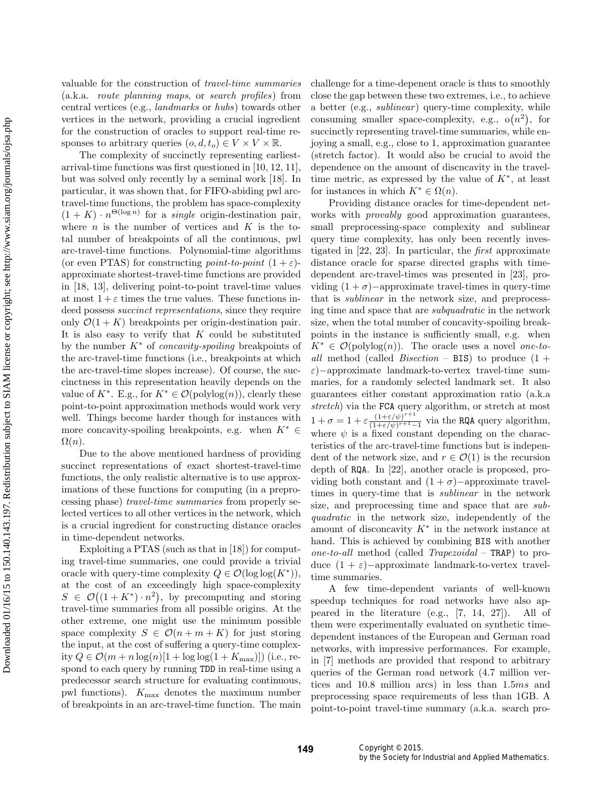valuable for the construction of travel-time summaries (a.k.a. route planning maps, or search profiles) from central vertices (e.g., landmarks or hubs) towards other vertices in the network, providing a crucial ingredient for the construction of oracles to support real-time responses to arbitrary queries  $(o, d, t_o) \in V \times V \times \mathbb{R}$ .

The complexity of succinctly representing earliestarrival-time functions was first questioned in [10, 12, 11], but was solved only recently by a seminal work [18]. In particular, it was shown that, for FIFO-abiding pwl arctravel-time functions, the problem has space-complexity  $(1 + K) \cdot n^{\Theta(\log n)}$  for a *single* origin-destination pair, where  $n$  is the number of vertices and  $K$  is the total number of breakpoints of all the continuous, pwl arc-travel-time functions. Polynomial-time algorithms (or even PTAS) for constructing *point-to-point*  $(1 + \varepsilon)$ approximate shortest-travel-time functions are provided in [18, 13], delivering point-to-point travel-time values at most  $1 + \varepsilon$  times the true values. These functions indeed possess succinct representations, since they require only  $\mathcal{O}(1+K)$  breakpoints per origin-destination pair. It is also easy to verify that  $K$  could be substituted by the number  $K^*$  of *concavity-spoiling* breakpoints of the arc-travel-time functions (i.e., breakpoints at which the arc-travel-time slopes increase). Of course, the succinctness in this representation heavily depends on the value of  $K^*$ . E.g., for  $K^* \in \mathcal{O}(\text{polylog}(n))$ , clearly these point-to-point approximation methods would work very well. Things become harder though for instances with more concavity-spoiling breakpoints, e.g. when  $K^* \in$  $\Omega(n)$ .

Due to the above mentioned hardness of providing succinct representations of exact shortest-travel-time functions, the only realistic alternative is to use approximations of these functions for computing (in a preprocessing phase) travel-time summaries from properly selected vertices to all other vertices in the network, which is a crucial ingredient for constructing distance oracles in time-dependent networks.

Exploiting a PTAS (such as that in [18]) for computing travel-time summaries, one could provide a trivial oracle with query-time complexity  $Q \in \mathcal{O}(\log \log(K^*)),$ at the cost of an exceedingly high space-complexity  $S \in \mathcal{O}((1+K^*)\cdot n^2)$ , by precomputing and storing travel-time summaries from all possible origins. At the other extreme, one might use the minimum possible space complexity  $S \in \mathcal{O}(n+m+K)$  for just storing the input, at the cost of suffering a query-time complexity  $Q \in \mathcal{O}(m + n \log(n)[1 + \log \log(1 + K_{\max})])$  (i.e., respond to each query by running TDD in real-time using a predecessor search structure for evaluating continuous, pwl functions).  $K_{\text{max}}$  denotes the maximum number of breakpoints in an arc-travel-time function. The main challenge for a time-depenent oracle is thus to smoothly close the gap between these two extremes, i.e., to achieve a better (e.g., *sublinear*) query-time complexity, while consuming smaller space-complexity, e.g.,  $o(n^2)$ , for succinctly representing travel-time summaries, while enjoying a small, e.g., close to 1, approximation guarantee (stretch factor). It would also be crucial to avoid the dependence on the amount of discncavity in the traveltime metric, as expressed by the value of  $K^*$ , at least for instances in which  $K^* \in \Omega(n)$ .

Providing distance oracles for time-dependent networks with *provably* good approximation guarantees, small preprocessing-space complexity and sublinear query time complexity, has only been recently investigated in [22, 23]. In particular, the first approximate distance oracle for sparse directed graphs with timedependent arc-travel-times was presented in [23], providing  $(1 + \sigma)$ -approximate travel-times in query-time that is sublinear in the network size, and preprocessing time and space that are subquadratic in the network size, when the total number of concavity-spoiling breakpoints in the instance is sufficiently small, e.g. when  $K^* \in \mathcal{O}(\text{polylog}(n))$ . The oracle uses a novel one-toall method (called *Bisection* – **BIS**) to produce  $(1 +$  $\varepsilon$ )-approximate landmark-to-vertex travel-time summaries, for a randomly selected landmark set. It also guarantees either constant approximation ratio (a.k.a stretch) via the FCA query algorithm, or stretch at most  $1 + \sigma = 1 + \varepsilon \frac{(1+\varepsilon/\psi)^{r+1}}{(1+\varepsilon/\psi)^{r+1}-1}$  via the **RQA** query algorithm, where  $\psi$  is a fixed constant depending on the characteristics of the arc-travel-time functions but is independent of the network size, and  $r \in \mathcal{O}(1)$  is the recursion depth of RQA. In [22], another oracle is proposed, providing both constant and  $(1 + \sigma)$ -approximate traveltimes in query-time that is *sublinear* in the network size, and preprocessing time and space that are subquadratic in the network size, independently of the amount of disconcavity  $K^*$  in the network instance at hand. This is achieved by combining BIS with another one-to-all method (called  $Trapezoidal$  – TRAP) to produce  $(1 + \varepsilon)$ -approximate landmark-to-vertex traveltime summaries.

A few time-dependent variants of well-known speedup techniques for road networks have also appeared in the literature (e.g., [7, 14, 27]). All of them were experimentally evaluated on synthetic timedependent instances of the European and German road networks, with impressive performances. For example, in [7] methods are provided that respond to arbitrary queries of the German road network (4.7 million vertices and 10.8 million arcs) in less than 1.5ms and preprocessing space requirements of less than 1GB. A point-to-point travel-time summary (a.k.a. search pro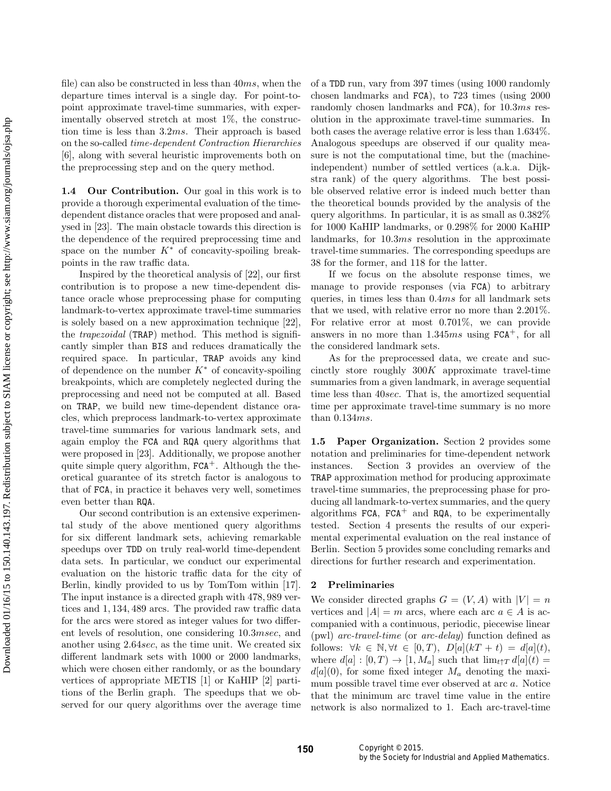file) can also be constructed in less than 40ms, when the departure times interval is a single day. For point-topoint approximate travel-time summaries, with experimentally observed stretch at most 1%, the construction time is less than 3.2ms. Their approach is based on the so-called time-dependent Contraction Hierarchies [6], along with several heuristic improvements both on the preprocessing step and on the query method.

1.4 Our Contribution. Our goal in this work is to provide a thorough experimental evaluation of the timedependent distance oracles that were proposed and analysed in [23]. The main obstacle towards this direction is the dependence of the required preprocessing time and space on the number  $K^*$  of concavity-spoiling breakpoints in the raw traffic data.

Inspired by the theoretical analysis of [22], our first contribution is to propose a new time-dependent distance oracle whose preprocessing phase for computing landmark-to-vertex approximate travel-time summaries is solely based on a new approximation technique [22], the trapezoidal (TRAP) method. This method is significantly simpler than BIS and reduces dramatically the required space. In particular, TRAP avoids any kind of dependence on the number  $K^*$  of concavity-spoiling breakpoints, which are completely neglected during the preprocessing and need not be computed at all. Based on TRAP, we build new time-dependent distance oracles, which preprocess landmark-to-vertex approximate travel-time summaries for various landmark sets, and again employ the FCA and RQA query algorithms that were proposed in [23]. Additionally, we propose another quite simple query algorithm,  $FCA^+$ . Although the theoretical guarantee of its stretch factor is analogous to that of FCA, in practice it behaves very well, sometimes even better than RQA.

Our second contribution is an extensive experimental study of the above mentioned query algorithms for six different landmark sets, achieving remarkable speedups over TDD on truly real-world time-dependent data sets. In particular, we conduct our experimental evaluation on the historic traffic data for the city of Berlin, kindly provided to us by TomTom within [17]. The input instance is a directed graph with 478, 989 vertices and 1, 134, 489 arcs. The provided raw traffic data for the arcs were stored as integer values for two different levels of resolution, one considering 10.3msec, and another using 2.64sec, as the time unit. We created six different landmark sets with 1000 or 2000 landmarks, which were chosen either randomly, or as the boundary vertices of appropriate METIS [1] or KaHIP [2] partitions of the Berlin graph. The speedups that we observed for our query algorithms over the average time

of a TDD run, vary from 397 times (using 1000 randomly chosen landmarks and FCA), to 723 times (using 2000 randomly chosen landmarks and FCA), for 10.3ms resolution in the approximate travel-time summaries. In both cases the average relative error is less than 1.634%. Analogous speedups are observed if our quality measure is not the computational time, but the (machineindependent) number of settled vertices (a.k.a. Dijkstra rank) of the query algorithms. The best possible observed relative error is indeed much better than the theoretical bounds provided by the analysis of the query algorithms. In particular, it is as small as 0.382% for 1000 KaHIP landmarks, or 0.298% for 2000 KaHIP landmarks, for 10.3ms resolution in the approximate travel-time summaries. The corresponding speedups are 38 for the former, and 118 for the latter.

If we focus on the absolute response times, we manage to provide responses (via FCA) to arbitrary queries, in times less than 0.4ms for all landmark sets that we used, with relative error no more than 2.201%. For relative error at most 0.701%, we can provide answers in no more than  $1.345ms$  using  $FCA^+$ , for all the considered landmark sets.

As for the preprocessed data, we create and succinctly store roughly  $300K$  approximate travel-time summaries from a given landmark, in average sequential time less than 40sec. That is, the amortized sequential time per approximate travel-time summary is no more than 0.134ms.

1.5 Paper Organization. Section 2 provides some notation and preliminaries for time-dependent network instances. Section 3 provides an overview of the TRAP approximation method for producing approximate travel-time summaries, the preprocessing phase for producing all landmark-to-vertex summaries, and the query algorithms  $FCA$ ,  $FCA^+$  and  $RQA$ , to be experimentally tested. Section 4 presents the results of our experimental experimental evaluation on the real instance of Berlin. Section 5 provides some concluding remarks and directions for further research and experimentation.

#### 2 Preliminaries

We consider directed graphs  $G = (V, A)$  with  $|V| = n$ vertices and  $|A| = m$  arcs, where each arc  $a \in A$  is accompanied with a continuous, periodic, piecewise linear (pwl) arc-travel-time (or arc-delay) function defined as follows:  $\forall k \in \mathbb{N}, \forall t \in [0, T), D[a](kT + t) = d[a](t),$ where  $d[a] : [0, T) \to [1, M_a]$  such that  $\lim_{t \uparrow T} d[a](t) =$  $d[a](0)$ , for some fixed integer  $M_a$  denoting the maximum possible travel time ever observed at arc a. Notice that the minimum arc travel time value in the entire network is also normalized to 1. Each arc-travel-time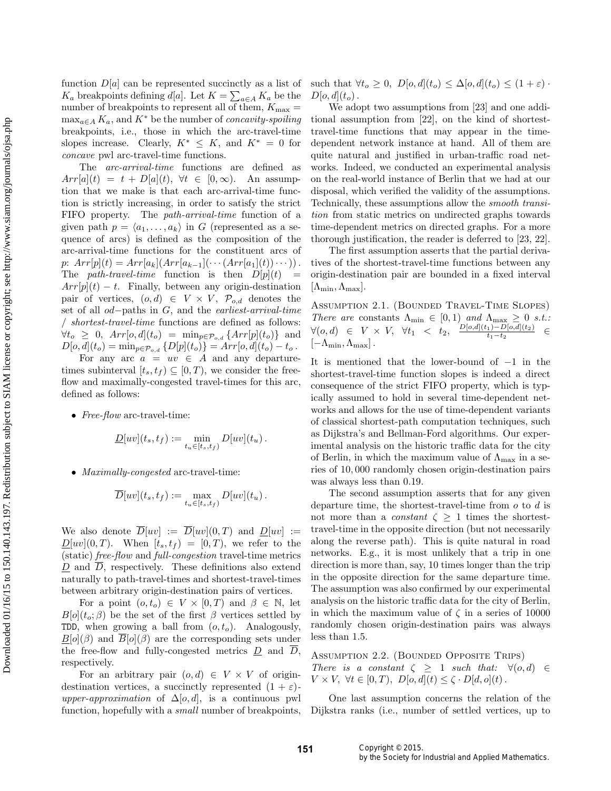function  $D[a]$  can be represented succinctly as a list of  $K_a$  breakpoints defining  $d[a]$ . Let  $K = \sum_{a \in A} K_a$  be the number of breakpoints to represent all of them,  $K_{\text{max}} =$  $\max_{a \in A} K_a$ , and  $K^*$  be the number of *concavity-spoiling* breakpoints, i.e., those in which the arc-travel-time slopes increase. Clearly,  $K^* \leq K$ , and  $K^* = 0$  for concave pwl arc-travel-time functions.

The arc-arrival-time functions are defined as  $Arr[a](t) = t + D[a](t), \forall t \in [0, \infty)$ . An assumption that we make is that each arc-arrival-time function is strictly increasing, in order to satisfy the strict FIFO property. The path-arrival-time function of a given path  $p = \langle a_1, \ldots, a_k \rangle$  in G (represented as a sequence of arcs) is defined as the composition of the arc-arrival-time functions for the constituent arcs of p:  $Arr[p](t) = Arr[a_k](Arr[a_{k-1}] (\cdots (Arr[a_1](t)) \cdots)).$ The *path-travel-time* function is then  $D[p](t)$  $Arr[p](t) - t$ . Finally, between any origin-destination pair of vertices,  $(o, d) \in V \times V$ ,  $\mathcal{P}_{o,d}$  denotes the set of all od−paths in G, and the earliest-arrival-time / shortest-travel-time functions are defined as follows:  $\forall t_o \geq 0$ ,  $Arr[o, d](t_o) = \min_{p \in \mathcal{P}_{o,d}} \{Arr[p](t_o) \}$  and  $D[0, d](t_o) = \min_{p \in \mathcal{P}_{o,d}} \{D[p](t_o)\} = Arr[0, d](t_o) - t_o$ .

For any arc  $a = uv \in A$  and any departuretimes subinterval  $[t_s, t_f) \subseteq [0, T)$ , we consider the freeflow and maximally-congested travel-times for this arc, defined as follows:

• Free-flow arc-travel-time:

$$
\underline{D}[uv](t_s,t_f):=\min_{t_u\in[t_s,t_f)}D[uv](t_u)\,.
$$

• Maximally-congested arc-travel-time:

$$
\overline{D}[uv](t_s, t_f) := \max_{t_u \in [t_s, t_f)} D[uv](t_u).
$$

We also denote  $\overline{D}[uv] := \overline{D}[uv](0,T)$  and  $\underline{D}[uv] :=$  $\underline{D}[uv](0,T)$ . When  $[t_s, t_f) = [0,T)$ , we refer to the (static) free-flow and full-congestion travel-time metrics D and  $\overline{D}$ , respectively. These definitions also extend naturally to path-travel-times and shortest-travel-times between arbitrary origin-destination pairs of vertices.

For a point  $(o, t_o) \in V \times [0, T)$  and  $\beta \in \mathbb{N}$ , let  $B[*o*](t<sub>o</sub>; \beta)$  be the set of the first  $\beta$  vertices settled by TDD, when growing a ball from  $(o, t_o)$ . Analogously,  $\underline{B}[o](\beta)$  and  $\overline{B}[o](\beta)$  are the corresponding sets under the free-flow and fully-congested metrics  $\underline{D}$  and  $D$ , respectively.

For an arbitrary pair  $(o, d) \in V \times V$  of origindestination vertices, a succinctly represented  $(1 + \varepsilon)$ upper-approximation of  $\Delta$ [o, d], is a continuous pwl function, hopefully with a *small* number of breakpoints, such that  $\forall t_o \geq 0$ ,  $D[o, d](t_o) \leq \Delta[o, d](t_o) \leq (1 + \varepsilon)$ .  $D[0, d](t_o)$ .

We adopt two assumptions from [23] and one additional assumption from [22], on the kind of shortesttravel-time functions that may appear in the timedependent network instance at hand. All of them are quite natural and justified in urban-traffic road networks. Indeed, we conducted an experimental analysis on the real-world instance of Berlin that we had at our disposal, which verified the validity of the assumptions. Technically, these assumptions allow the smooth transition from static metrics on undirected graphs towards time-dependent metrics on directed graphs. For a more thorough justification, the reader is deferred to [23, 22].

The first assumption asserts that the partial derivatives of the shortest-travel-time functions between any origin-destination pair are bounded in a fixed interval  $[\Lambda_{\min}, \Lambda_{\max}].$ 

Assumption 2.1. (Bounded Travel-Time Slopes) There are constants  $\Lambda_{\min} \in [0,1)$  and  $\Lambda_{\max} \geq 0$  s.t.:  $\forall (o, d) \in V \times V, \forall t_1 \lt t_2, \frac{D[o,d](t_1) - D[o,d](t_2)}{t_1 - t_2} \in$  $[-\Lambda_{\min}, \Lambda_{\max}]$ .

It is mentioned that the lower-bound of −1 in the shortest-travel-time function slopes is indeed a direct consequence of the strict FIFO property, which is typically assumed to hold in several time-dependent networks and allows for the use of time-dependent variants of classical shortest-path computation techniques, such as Dijkstra's and Bellman-Ford algorithms. Our experimental analysis on the historic traffic data for the city of Berlin, in which the maximum value of  $\Lambda_{\text{max}}$  in a series of 10, 000 randomly chosen origin-destination pairs was always less than 0.19.

The second assumption asserts that for any given departure time, the shortest-travel-time from  $o$  to  $d$  is not more than a *constant*  $\zeta \geq 1$  times the shortesttravel-time in the opposite direction (but not necessarily along the reverse path). This is quite natural in road networks. E.g., it is most unlikely that a trip in one direction is more than, say, 10 times longer than the trip in the opposite direction for the same departure time. The assumption was also confirmed by our experimental analysis on the historic traffic data for the city of Berlin, in which the maximum value of  $\zeta$  in a series of 10000 randomly chosen origin-destination pairs was always less than 1.5.

## Assumption 2.2. (Bounded Opposite Trips)

There is a constant  $\zeta \geq 1$  such that:  $\forall (o,d) \in$  $V \times V$ ,  $\forall t \in [0, T)$ ,  $D[\rho, d](t) \leq \zeta \cdot D[d, \rho](t)$ .

One last assumption concerns the relation of the Dijkstra ranks (i.e., number of settled vertices, up to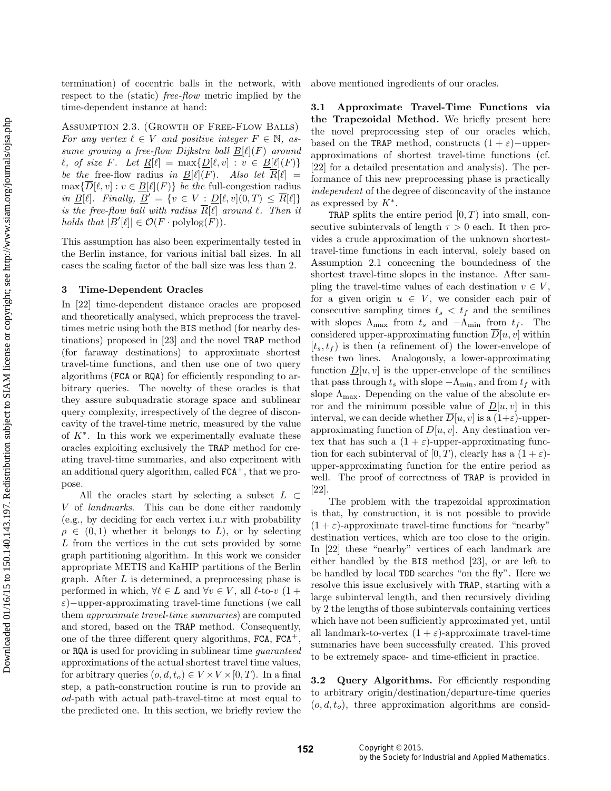respect to the (static) free-flow metric implied by the time-dependent instance at hand: Assumption 2.3. (Growth of Free-Flow Balls) For any vertex  $\ell \in V$  and positive integer  $F \in \mathbb{N}$ , assume growing a free-flow Dijkstra ball  $\underline{B}[\ell](F)$  around

 $\ell$ , of size F. Let  $\underline{R}[\ell] = \max{\{\underline{D}[\ell, v] : v \in \underline{B}[\ell](F)\}}$ be the free-flow radius in  $\underline{B}[\ell](F)$ . Also let  $\overline{R}[\ell] =$  $\max{\{\overline{D}[\ell, v] : v \in \underline{B}[\ell](F)\}}$  be the full-congestion radius in  $B[\ell]$ . Finally,  $B' = \{v \in V : D[\ell, v](0, T) \leq \overline{R}[\ell]\}$ is the free-flow ball with radius  $\overline{R}[\ell]$  around  $\ell$ . Then it holds that  $|\underline{B}'[\ell]| \in \mathcal{O}(F \cdot \text{polylog}(F)).$ 

termination) of cocentric balls in the network, with

This assumption has also been experimentally tested in the Berlin instance, for various initial ball sizes. In all cases the scaling factor of the ball size was less than 2.

## 3 Time-Dependent Oracles

In [22] time-dependent distance oracles are proposed and theoretically analysed, which preprocess the traveltimes metric using both the BIS method (for nearby destinations) proposed in [23] and the novel TRAP method (for faraway destinations) to approximate shortest travel-time functions, and then use one of two query algorithms (FCA or RQA) for efficiently responding to arbitrary queries. The novelty of these oracles is that they assure subquadratic storage space and sublinear query complexity, irrespectively of the degree of disconcavity of the travel-time metric, measured by the value of  $K^*$ . In this work we experimentally evaluate these oracles exploiting exclusively the TRAP method for creating travel-time summaries, and also experiment with an additional query algorithm, called  $FCA^+$ , that we propose.

All the oracles start by selecting a subset  $L \subset$ V of landmarks. This can be done either randomly (e.g., by deciding for each vertex i.u.r with probability  $\rho \in (0,1)$  whether it belongs to L), or by selecting L from the vertices in the cut sets provided by some graph partitioning algorithm. In this work we consider appropriate METIS and KaHIP partitions of the Berlin graph. After  $L$  is determined, a preprocessing phase is performed in which,  $\forall \ell \in L$  and  $\forall v \in V$ , all  $\ell$ -to-v (1 +  $\varepsilon$ )-upper-approximating travel-time functions (we call them approximate travel-time summaries) are computed and stored, based on the TRAP method. Consequently, one of the three different query algorithms,  $FCA$ ,  $FCA^+$ or RQA is used for providing in sublinear time guaranteed approximations of the actual shortest travel time values, for arbitrary queries  $(o, d, t_o) \in V \times V \times [0, T)$ . In a final step, a path-construction routine is run to provide an od-path with actual path-travel-time at most equal to the predicted one. In this section, we briefly review the

above mentioned ingredients of our oracles.

3.1 Approximate Travel-Time Functions via the Trapezoidal Method. We briefly present here the novel preprocessing step of our oracles which, based on the TRAP method, constructs  $(1 + \varepsilon)$ -upperapproximations of shortest travel-time functions (cf. [22] for a detailed presentation and analysis). The performance of this new preprocessing phase is practically independent of the degree of disconcavity of the instance as expressed by  $K^*$ .

**TRAP** splits the entire period  $[0, T)$  into small, consecutive subintervals of length  $\tau > 0$  each. It then provides a crude approximation of the unknown shortesttravel-time functions in each interval, solely based on Assumption 2.1 concecning the boundedness of the shortest travel-time slopes in the instance. After sampling the travel-time values of each destination  $v \in V$ , for a given origin  $u \in V$ , we consider each pair of consecutive sampling times  $t_s < t_f$  and the semilines with slopes  $\Lambda_{\text{max}}$  from  $t_s$  and  $-\Lambda_{\text{min}}$  from  $t_f$ . The considered upper-approximating function  $D[u, v]$  within  $[t_s, t_f]$  is then (a refinement of) the lower-envelope of these two lines. Analogously, a lower-approximating function  $D[u, v]$  is the upper-envelope of the semilines that pass through  $t_s$  with slope  $-\Lambda_{\min}$ , and from  $t_f$  with slope  $\Lambda_{\text{max}}$ . Depending on the value of the absolute error and the minimum possible value of  $D[u, v]$  in this interval, we can decide whether  $\overline{D}[u, v]$  is a  $(1+\varepsilon)$ -upperapproximating function of  $D[u, v]$ . Any destination vertex that has such a  $(1 + \varepsilon)$ -upper-approximating function for each subinterval of  $[0, T)$ , clearly has a  $(1 + \varepsilon)$ upper-approximating function for the entire period as well. The proof of correctness of TRAP is provided in [22].

The problem with the trapezoidal approximation is that, by construction, it is not possible to provide  $(1 + \varepsilon)$ -approximate travel-time functions for "nearby" destination vertices, which are too close to the origin. In [22] these "nearby" vertices of each landmark are either handled by the BIS method [23], or are left to be handled by local TDD searches "on the fly". Here we resolve this issue exclusively with TRAP, starting with a large subinterval length, and then recursively dividing by 2 the lengths of those subintervals containing vertices which have not been sufficiently approximated yet, until all landmark-to-vertex  $(1 + \varepsilon)$ -approximate travel-time summaries have been successfully created. This proved to be extremely space- and time-efficient in practice.

3.2 Query Algorithms. For efficiently responding to arbitrary origin/destination/departure-time queries  $(o, d, t_o)$ , three approximation algorithms are consid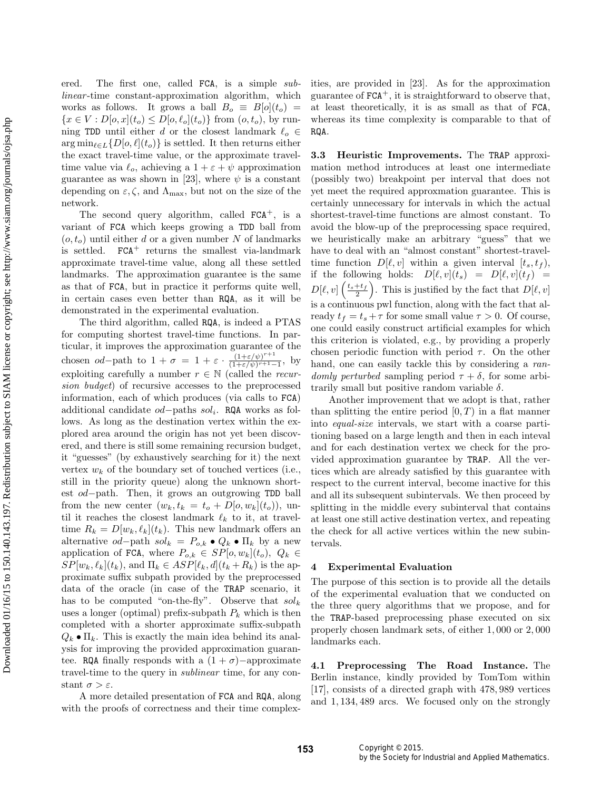ered. The first one, called FCA, is a simple sublinear -time constant-approximation algorithm, which works as follows. It grows a ball  $B_o \equiv B[o](t_o)$  ${x \in V : D[0, x](t_0) \leq D[0, \ell_0](t_0)}$  from  $(0, t_0)$ , by running TDD until either d or the closest landmark  $\ell_o \in$  $\arg \min_{\ell \in L} \{D[o, \ell](t_o)\}\$ is settled. It then returns either the exact travel-time value, or the approximate traveltime value via  $\ell_o$ , achieving a  $1 + \varepsilon + \psi$  approximation guarantee as was shown in [23], where  $\psi$  is a constant depending on  $\varepsilon, \zeta$ , and  $\Lambda_{\text{max}}$ , but not on the size of the network.

The second query algorithm, called  $FCA^+$ , is a variant of FCA which keeps growing a TDD ball from  $(o, t_o)$  until either d or a given number N of landmarks is settled.  $\;$   $FCA^{+} \;$  returns the smallest via-landmark approximate travel-time value, along all these settled landmarks. The approximation guarantee is the same as that of FCA, but in practice it performs quite well, in certain cases even better than RQA, as it will be demonstrated in the experimental evaluation.

The third algorithm, called RQA, is indeed a PTAS for computing shortest travel-time functions. In particular, it improves the approximation guarantee of the chosen *od*-path to  $1 + \sigma = 1 + \varepsilon \cdot \frac{(1+\varepsilon/\psi)^{r+1}}{(1+\varepsilon/\psi)^{r+1}-1}$ , by exploiting carefully a number  $r \in \mathbb{N}$  (called the *recur*sion budget) of recursive accesses to the preprocessed information, each of which produces (via calls to FCA) additional candidate  $od$ -paths  $sol_i$ . RQA works as follows. As long as the destination vertex within the explored area around the origin has not yet been discovered, and there is still some remaining recursion budget, it "guesses" (by exhaustively searching for it) the next vertex  $w_k$  of the boundary set of touched vertices (i.e., still in the priority queue) along the unknown shortest od−path. Then, it grows an outgrowing TDD ball from the new center  $(w_k, t_k = t_o + D[o, w_k](t_o))$ , until it reaches the closest landmark  $\ell_k$  to it, at traveltime  $R_k = D[w_k, \ell_k](t_k)$ . This new landmark offers an alternative od–path  $sol_k = P_{o,k} \bullet Q_k \bullet \Pi_k$  by a new application of FCA, where  $P_{o,k} \in SP[0, w_k](t_o)$ ,  $Q_k \in$  $SP[w_k, \ell_k](t_k)$ , and  $\Pi_k \in ASP[\ell_k, d](t_k + R_k)$  is the approximate suffix subpath provided by the preprocessed data of the oracle (in case of the TRAP scenario, it has to be computed "on-the-fly". Observe that  $sol_k$ uses a longer (optimal) prefix-subpath  $P_k$  which is then completed with a shorter approximate suffix-subpath  $Q_k \bullet \Pi_k$ . This is exactly the main idea behind its analysis for improving the provided approximation guarantee. RQA finally responds with a  $(1 + \sigma)$ -approximate travel-time to the query in sublinear time, for any constant  $\sigma > \varepsilon$ .

A more detailed presentation of FCA and RQA, along with the proofs of correctness and their time complexities, are provided in [23]. As for the approximation guarantee of  $FCA^+$ , it is straightforward to observe that, at least theoretically, it is as small as that of FCA, whereas its time complexity is comparable to that of RQA.

3.3 Heuristic Improvements. The TRAP approximation method introduces at least one intermediate (possibly two) breakpoint per interval that does not yet meet the required approxmation guarantee. This is certainly unnecessary for intervals in which the actual shortest-travel-time functions are almost constant. To avoid the blow-up of the preprocessing space required, we heuristically make an arbitrary "guess" that we have to deal with an "almost constant" shortest-traveltime function  $D[\ell, v]$  within a given interval  $[t_s, t_f)$ , if the following holds:  $D[\ell, v](t_s) = D[\ell, v](t_f) =$  $D[\ell, v] \left( \frac{t_s + t_f}{2} \right)$ . This is justified by the fact that  $D[\ell, v]$ is a continuous pwl function, along with the fact that already  $t_f = t_s + \tau$  for some small value  $\tau > 0$ . Of course, one could easily construct artificial examples for which this criterion is violated, e.g., by providing a properly chosen periodic function with period  $\tau$ . On the other hand, one can easily tackle this by considering a randomly perturbed sampling period  $\tau + \delta$ , for some arbitrarily small but positive random variable  $\delta$ .

Another improvement that we adopt is that, rather than splitting the entire period  $[0, T)$  in a flat manner into equal-size intervals, we start with a coarse partitioning based on a large length and then in each inteval and for each destination vertex we check for the provided approximation guarantee by TRAP. All the vertices which are already satisfied by this guarantee with respect to the current interval, become inactive for this and all its subsequent subintervals. We then proceed by splitting in the middle every subinterval that contains at least one still active destination vertex, and repeating the check for all active vertices within the new subintervals.

## 4 Experimental Evaluation

The purpose of this section is to provide all the details of the experimental evaluation that we conducted on the three query algorithms that we propose, and for the TRAP-based preprocessing phase executed on six properly chosen landmark sets, of either 1, 000 or 2, 000 landmarks each.

4.1 Preprocessing The Road Instance. The Berlin instance, kindly provided by TomTom within [17], consists of a directed graph with 478, 989 vertices and 1, 134, 489 arcs. We focused only on the strongly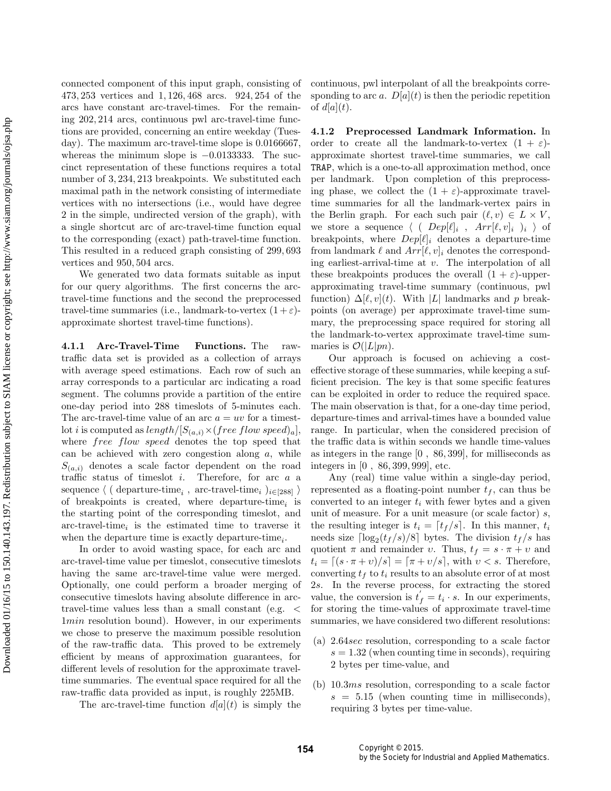connected component of this input graph, consisting of 473, 253 vertices and 1, 126, 468 arcs. 924, 254 of the arcs have constant arc-travel-times. For the remaining 202, 214 arcs, continuous pwl arc-travel-time functions are provided, concerning an entire weekday (Tuesday). The maximum arc-travel-time slope is 0.0166667, whereas the minimum slope is  $-0.0133333$ . The succinct representation of these functions requires a total number of 3, 234, 213 breakpoints. We substituted each maximal path in the network consisting of intermediate vertices with no intersections (i.e., would have degree 2 in the simple, undirected version of the graph), with a single shortcut arc of arc-travel-time function equal to the corresponding (exact) path-travel-time function. This resulted in a reduced graph consisting of 299, 693 vertices and 950, 504 arcs.

We generated two data formats suitable as input for our query algorithms. The first concerns the arctravel-time functions and the second the preprocessed travel-time summaries (i.e., landmark-to-vertex  $(1+\varepsilon)$ approximate shortest travel-time functions).

4.1.1 Arc-Travel-Time Functions. The rawtraffic data set is provided as a collection of arrays with average speed estimations. Each row of such an array corresponds to a particular arc indicating a road segment. The columns provide a partition of the entire one-day period into 288 timeslots of 5-minutes each. The arc-travel-time value of an arc  $a = uv$  for a timestlot *i* is computed as  $length/[S_{(a,i)} \times (free\ flow\ speed)_a],$ where *free flow speed* denotes the top speed that can be achieved with zero congestion along  $a$ , while  $S_{(a,i)}$  denotes a scale factor dependent on the road traffic status of timeslot  $i$ . Therefore, for arc  $a$  a sequence  $\langle$  ( departure-time<sub>i</sub>, arc-travel-time<sub>i</sub> )<sub>i∈[288]</sub>  $\rangle$ of breakpoints is created, where departure-time<sub>i</sub> is the starting point of the corresponding timeslot, and arc-travel-time<sub>i</sub> is the estimated time to traverse it when the departure time is exactly departure-time.

In order to avoid wasting space, for each arc and arc-travel-time value per timeslot, consecutive timeslots having the same arc-travel-time value were merged. Optionally, one could perform a broader merging of consecutive timeslots having absolute difference in arctravel-time values less than a small constant (e.g. < 1min resolution bound). However, in our experiments we chose to preserve the maximum possible resolution of the raw-traffic data. This proved to be extremely efficient by means of approximation guarantees, for different levels of resolution for the approximate traveltime summaries. The eventual space required for all the raw-traffic data provided as input, is roughly 225MB.

The arc-travel-time function  $d[a](t)$  is simply the

continuous, pwl interpolant of all the breakpoints corresponding to arc a.  $D[a](t)$  is then the periodic repetition of  $d[a](t)$ .

4.1.2 Preprocessed Landmark Information. In order to create all the landmark-to-vertex  $(1 + \varepsilon)$ approximate shortest travel-time summaries, we call TRAP, which is a one-to-all approximation method, once per landmark. Upon completion of this preprocessing phase, we collect the  $(1 + \varepsilon)$ -approximate traveltime summaries for all the landmark-vertex pairs in the Berlin graph. For each such pair  $(\ell, v) \in L \times V$ , we store a sequence  $\langle (Dep[\ell]_i, Arr[\ell, v]_i]_i \rangle$  of breakpoints, where  $Dep[\ell]_i$  denotes a departure-time from landmark  $\ell$  and  $Arr[\ell, v]_i$  denotes the corresponding earliest-arrival-time at  $v$ . The interpolation of all these breakpoints produces the overall  $(1 + \varepsilon)$ -upperapproximating travel-time summary (continuous, pwl function)  $\Delta[\ell, v](t)$ . With |L| landmarks and p breakpoints (on average) per approximate travel-time summary, the preprocessing space required for storing all the landmark-to-vertex approximate travel-time summaries is  $\mathcal{O}(|L|pn)$ .

Our approach is focused on achieving a costeffective storage of these summaries, while keeping a sufficient precision. The key is that some specific features can be exploited in order to reduce the required space. The main observation is that, for a one-day time period, departure-times and arrival-times have a bounded value range. In particular, when the considered precision of the traffic data is within seconds we handle time-values as integers in the range [0 , 86, 399], for milliseconds as integers in [0 , 86, 399, 999], etc.

Any (real) time value within a single-day period, represented as a floating-point number  $t_f$ , can thus be converted to an integer  $t_i$  with fewer bytes and a given unit of measure. For a unit measure (or scale factor) s, the resulting integer is  $t_i = [t_f / s]$ . In this manner,  $t_i$ needs size  $\lceil \log_2(t_f /s)/8 \rceil$  bytes. The division  $t_f /s$  has quotient  $\pi$  and remainder v. Thus,  $t_f = s \cdot \pi + v$  and  $t_i = [(s \cdot \pi + v)/s] = [\pi + v/s],$  with  $v < s$ . Therefore, converting  $t_f$  to  $t_i$  results to an absolute error of at most 2s. In the reverse process, for extracting the stored value, the conversion is  $t'_{f} = t_{i} \cdot s$ . In our experiments, for storing the time-values of approximate travel-time summaries, we have considered two different resolutions:

- (a) 2.64sec resolution, corresponding to a scale factor  $s = 1.32$  (when counting time in seconds), requiring 2 bytes per time-value, and
- (b) 10.3ms resolution, corresponding to a scale factor  $s = 5.15$  (when counting time in milliseconds), requiring 3 bytes per time-value.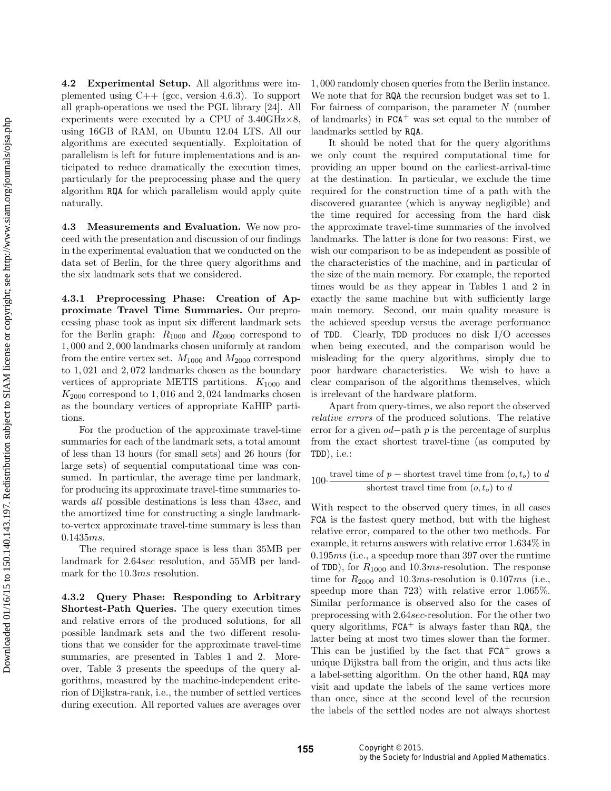4.2 Experimental Setup. All algorithms were implemented using C++ (gcc, version 4.6.3). To support all graph-operations we used the PGL library [24]. All experiments were executed by a CPU of  $3.40 \text{GHz} \times 8$ , using 16GB of RAM, on Ubuntu 12.04 LTS. All our algorithms are executed sequentially. Exploitation of parallelism is left for future implementations and is anticipated to reduce dramatically the execution times, particularly for the preprocessing phase and the query algorithm RQA for which parallelism would apply quite naturally.

4.3 Measurements and Evaluation. We now proceed with the presentation and discussion of our findings in the experimental evaluation that we conducted on the data set of Berlin, for the three query algorithms and the six landmark sets that we considered.

4.3.1 Preprocessing Phase: Creation of Approximate Travel Time Summaries. Our preprocessing phase took as input six different landmark sets for the Berlin graph:  $R_{1000}$  and  $R_{2000}$  correspond to 1, 000 and 2, 000 landmarks chosen uniformly at random from the entire vertex set.  $M_{1000}$  and  $M_{2000}$  correspond to 1, 021 and 2, 072 landmarks chosen as the boundary vertices of appropriate METIS partitions.  $K_{1000}$  and  $K_{2000}$  correspond to 1,016 and 2,024 landmarks chosen as the boundary vertices of appropriate KaHIP partitions.

For the production of the approximate travel-time summaries for each of the landmark sets, a total amount of less than 13 hours (for small sets) and 26 hours (for large sets) of sequential computational time was consumed. In particular, the average time per landmark, for producing its approximate travel-time summaries towards all possible destinations is less than 43sec, and the amortized time for constructing a single landmarkto-vertex approximate travel-time summary is less than 0.1435ms.

The required storage space is less than 35MB per landmark for 2.64sec resolution, and 55MB per landmark for the 10.3ms resolution.

4.3.2 Query Phase: Responding to Arbitrary Shortest-Path Queries. The query execution times and relative errors of the produced solutions, for all possible landmark sets and the two different resolutions that we consider for the approximate travel-time summaries, are presented in Tables 1 and 2. Moreover, Table 3 presents the speedups of the query algorithms, measured by the machine-independent criterion of Dijkstra-rank, i.e., the number of settled vertices during execution. All reported values are averages over

1, 000 randomly chosen queries from the Berlin instance. We note that for RQA the recursion budget was set to 1. For fairness of comparison, the parameter  $N$  (number of landmarks) in  $FCA^+$  was set equal to the number of landmarks settled by RQA.

It should be noted that for the query algorithms we only count the required computational time for providing an upper bound on the earliest-arrival-time at the destination. In particular, we exclude the time required for the construction time of a path with the discovered guarantee (which is anyway negligible) and the time required for accessing from the hard disk the approximate travel-time summaries of the involved landmarks. The latter is done for two reasons: First, we wish our comparison to be as independent as possible of the characteristics of the machine, and in particular of the size of the main memory. For example, the reported times would be as they appear in Tables 1 and 2 in exactly the same machine but with sufficiently large main memory. Second, our main quality measure is the achieved speedup versus the average performance of TDD. Clearly, TDD produces no disk I/O accesses when being executed, and the comparison would be misleading for the query algorithms, simply due to poor hardware characteristics. We wish to have a clear comparison of the algorithms themselves, which is irrelevant of the hardware platform.

Apart from query-times, we also report the observed relative errors of the produced solutions. The relative error for a given od−path p is the percentage of surplus from the exact shortest travel-time (as computed by TDD), i.e.:

100. travel time of 
$$
p
$$
 – shortest travel time from  $(o, t_o)$  to  $d$   
shortest travel time from  $(o, t_o)$  to  $d$ 

With respect to the observed query times, in all cases FCA is the fastest query method, but with the highest relative error, compared to the other two methods. For example, it returns answers with relative error 1.634% in  $0.195ms$  (i.e., a speedup more than 397 over the runtime of TDD), for  $R_{1000}$  and 10.3ms-resolution. The response time for  $R_{2000}$  and 10.3ms-resolution is 0.107ms (i.e., speedup more than 723) with relative error 1.065%. Similar performance is observed also for the cases of preprocessing with 2.64sec-resolution. For the other two query algorithms,  $FCA^+$  is always faster than RQA, the latter being at most two times slower than the former. This can be justified by the fact that  $FCA^+$  grows a unique Dijkstra ball from the origin, and thus acts like a label-setting algorithm. On the other hand, RQA may visit and update the labels of the same vertices more than once, since at the second level of the recursion the labels of the settled nodes are not always shortest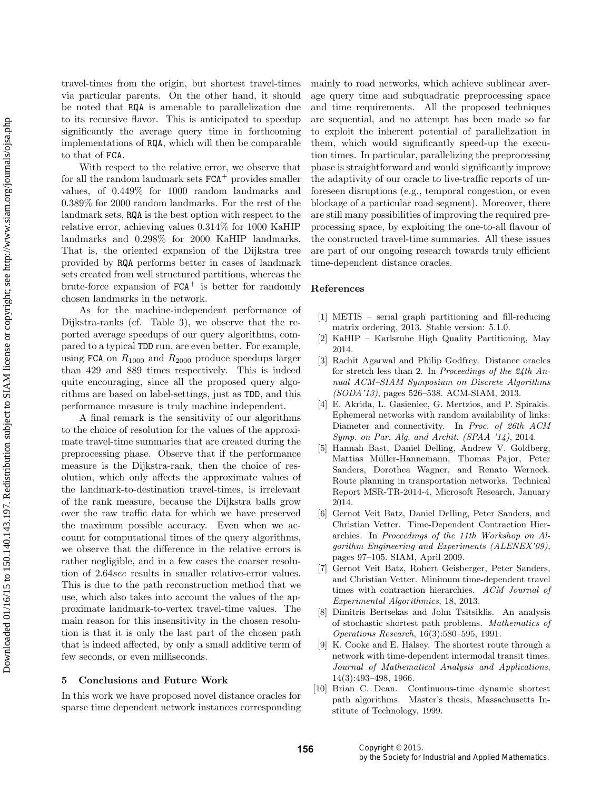travel-times from the origin, but shortest travel-times via particular parents. On the other hand, it should be noted that RQA is amenable to parallelization due to its recursive flavor. This is anticipated to speedup significantly the average query time in forthcoming implementations of RQA, which will then be comparable to that of FCA.

With respect to the relative error, we observe that for all the random landmark sets  $FCA^+$  provides smaller values, of 0.449% for 1000 random landmarks and 0.389% for 2000 random landmarks. For the rest of the landmark sets, RQA is the best option with respect to the relative error, achieving values 0.314% for 1000 KaHIP landmarks and 0.298% for 2000 KaHIP landmarks. That is, the oriented expansion of the Dijkstra tree provided by RQA performs better in cases of landmark sets created from well structured partitions, whereas the brute-force expansion of  $FCA^+$  is better for randomly chosen landmarks in the network.

As for the machine-independent performance of Dijkstra-ranks (cf. Table 3), we observe that the reported average speedups of our query algorithms, compared to a typical TDD run, are even better. For example, using FCA on  $R_{1000}$  and  $R_{2000}$  produce speedups larger than 429 and 889 times respectively. This is indeed quite encouraging, since all the proposed query algorithms are based on label-settings, just as TDD, and this performance measure is truly machine independent.

A final remark is the sensitivity of our algorithms to the choice of resolution for the values of the approximate travel-time summaries that are created during the preprocessing phase. Observe that if the performance measure is the Dijkstra-rank, then the choice of resolution, which only affects the approximate values of the landmark-to-destination travel-times, is irrelevant of the rank measure, because the Dijkstra balls grow over the raw traffic data for which we have preserved the maximum possible accuracy. Even when we account for computational times of the query algorithms, we observe that the difference in the relative errors is rather negligible, and in a few cases the coarser resolution of 2.64sec results in smaller relative-error values. This is due to the path reconstruction method that we use, which also takes into account the values of the approximate landmark-to-vertex travel-time values. The main reason for this insensitivity in the chosen resolution is that it is only the last part of the chosen path that is indeed affected, by only a small additive term of few seconds, or even milliseconds.

# 5 Conclusions and Future Work

In this work we have proposed novel distance oracles for sparse time dependent network instances corresponding mainly to road networks, which achieve sublinear average query time and subquadratic preprocessing space and time requirements. All the proposed techniques are sequential, and no attempt has been made so far to exploit the inherent potential of parallelization in them, which would significantly speed-up the execution times. In particular, parallelizing the preprocessing phase is straightforward and would significantly improve the adaptivity of our oracle to live-traffic reports of unforeseen disruptions (e.g., temporal congestion, or even blockage of a particular road segment). Moreover, there are still many possibilities of improving the required preprocessing space, by exploiting the one-to-all flavour of the constructed travel-time summaries. All these issues are part of our ongoing research towards truly efficient time-dependent distance oracles.

# References

- [1] METIS serial graph partitioning and fill-reducing matrix ordering, 2013. Stable version: 5.1.0.
- [2] KaHIP Karlsruhe High Quality Partitioning, May 2014.
- [3] Rachit Agarwal and Philip Godfrey. Distance oracles for stretch less than 2. In Proceedings of the 24th Annual ACM–SIAM Symposium on Discrete Algorithms (SODA'13), pages 526–538. ACM-SIAM, 2013.
- [4] E. Akrida, L. Gasieniec, G. Mertzios, and P. Spirakis. Ephemeral networks with random availability of links: Diameter and connectivity. In Proc. of 26th ACM Symp. on Par. Alg. and Archit. (SPAA '14), 2014.
- [5] Hannah Bast, Daniel Delling, Andrew V. Goldberg, Mattias Müller-Hannemann, Thomas Pajor, Peter Sanders, Dorothea Wagner, and Renato Werneck. Route planning in transportation networks. Technical Report MSR-TR-2014-4, Microsoft Research, January 2014.
- [6] Gernot Veit Batz, Daniel Delling, Peter Sanders, and Christian Vetter. Time-Dependent Contraction Hierarchies. In Proceedings of the 11th Workshop on Algorithm Engineering and Experiments (ALENEX'09), pages 97–105. SIAM, April 2009.
- [7] Gernot Veit Batz, Robert Geisberger, Peter Sanders, and Christian Vetter. Minimum time-dependent travel times with contraction hierarchies. ACM Journal of Experimental Algorithmics, 18, 2013.
- [8] Dimitris Bertsekas and John Tsitsiklis. An analysis of stochastic shortest path problems. Mathematics of Operations Research, 16(3):580–595, 1991.
- [9] K. Cooke and E. Halsey. The shortest route through a network with time-dependent intermodal transit times. Journal of Mathematical Analysis and Applications, 14(3):493–498, 1966.
- [10] Brian C. Dean. Continuous-time dynamic shortest path algorithms. Master's thesis, Massachusetts Institute of Technology, 1999.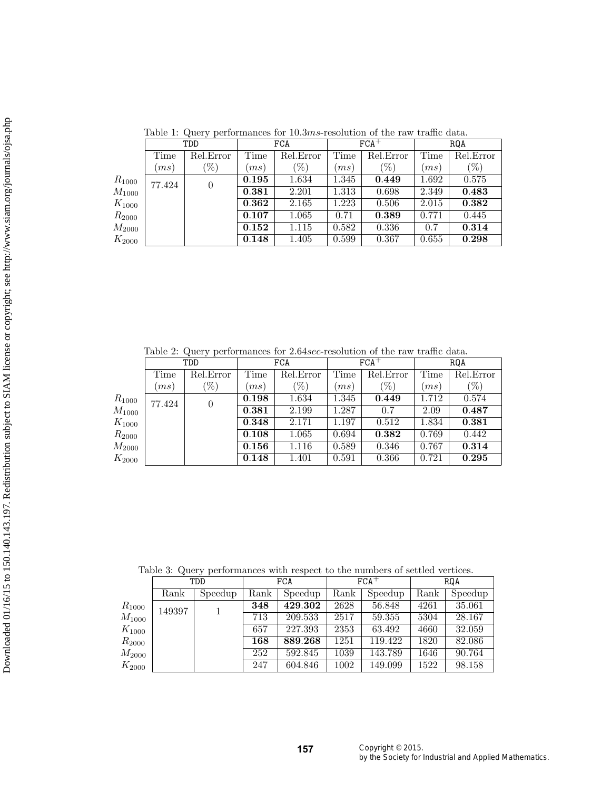|            | TDD    |           | <b>FCA</b> |           | $FCA+$ |           | RQA   |           |
|------------|--------|-----------|------------|-----------|--------|-----------|-------|-----------|
|            | Time   | Rel.Error | Time       | Rel.Error | Time   | Rel.Error | Time  | Rel.Error |
|            | (ms)   | $(\%)$    | ms)        | $(\%)$    | (ms)   | $(\%)$    | ms)   | $(\%)$    |
| $R_{1000}$ | 77.424 | $\theta$  | 0.195      | 1.634     | 1.345  | 0.449     | 1.692 | 0.575     |
| $M_{1000}$ |        |           | 0.381      | 2.201     | 1.313  | 0.698     | 2.349 | 0.483     |
| $K_{1000}$ |        |           | 0.362      | 2.165     | 1.223  | 0.506     | 2.015 | 0.382     |
| $R_{2000}$ |        |           | 0.107      | 1.065     | 0.71   | 0.389     | 0.771 | 0.445     |
| $M_{2000}$ |        |           | 0.152      | 1.115     | 0.582  | 0.336     | 0.7   | 0.314     |
| $K_{2000}$ |        |           | 0.148      | 1.405     | 0.599  | 0.367     | 0.655 | 0.298     |

Table 1: Query performances for 10.3ms-resolution of the raw traffic data.

Table 2: Query performances for 2.64sec-resolution of the raw traffic data.

|            | TDD    |                   | FCA   |                 | $FCA$ <sup>+</sup> |           | RQA   |           |
|------------|--------|-------------------|-------|-----------------|--------------------|-----------|-------|-----------|
|            | Time   | Rel.Error         | Time  | Rel.Error       | Time               | Rel.Error | Time  | Rel.Error |
|            | ms)    | $\mathcal{C}(\%)$ | (ms)  | $\mathscr{C}_0$ | ms)                | $(\%)$    | (ms)  | $(\%)$    |
| $R_{1000}$ | 77.424 | $\overline{0}$    | 0.198 | 1.634           | 1.345              | 0.449     | 1.712 | 0.574     |
| $M_{1000}$ |        |                   | 0.381 | 2.199           | 1.287              | 0.7       | 2.09  | 0.487     |
| $K_{1000}$ |        |                   | 0.348 | 2.171           | 1.197              | 0.512     | 1.834 | 0.381     |
| $R_{2000}$ |        |                   | 0.108 | 1.065           | 0.694              | 0.382     | 0.769 | 0.442     |
| $M_{2000}$ |        |                   | 0.156 | 1.116           | 0.589              | 0.346     | 0.767 | 0.314     |
| $K_{2000}$ |        |                   | 0.148 | 1.401           | 0.591              | 0.366     | 0.721 | 0.295     |

Table 3: Query performances with respect to the numbers of settled vertices.

|            | TDD    |         | FCA  |         | $FCA$ <sup>+</sup> |         | RQA  |         |
|------------|--------|---------|------|---------|--------------------|---------|------|---------|
|            | Rank   | Speedup | Rank | Speedup | Rank               | Speedup | Rank | Speedup |
| $R_{1000}$ | 149397 |         | 348  | 429.302 | 2628               | 56.848  | 4261 | 35.061  |
| $M_{1000}$ |        |         | 713  | 209.533 | 2517               | 59.355  | 5304 | 28.167  |
| $K_{1000}$ |        |         | 657  | 227.393 | 2353               | 63.492  | 4660 | 32.059  |
| $R_{2000}$ |        |         | 168  | 889.268 | 1251               | 119.422 | 1820 | 82.086  |
| $M_{2000}$ |        |         | 252  | 592.845 | 1039               | 143.789 | 1646 | 90.764  |
| $K_{2000}$ |        |         | 247  | 604.846 | 1002               | 149.099 | 1522 | 98.158  |